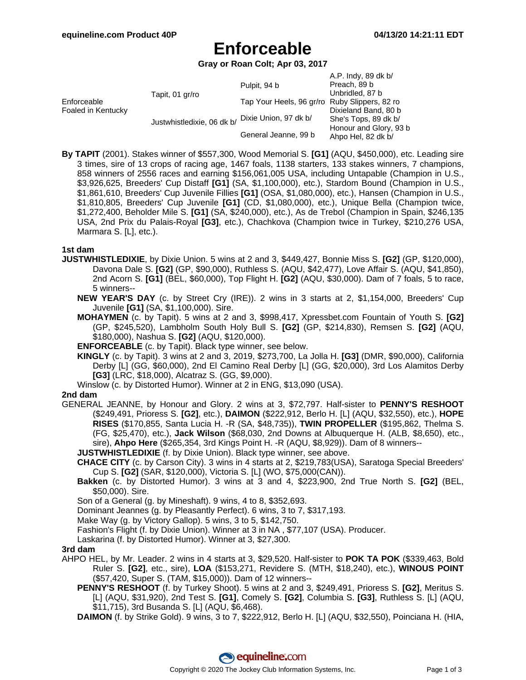# **Enforceable**

**Gray or Roan Colt; Apr 03, 2017**

|                                   |                            |                                               | A.P. Indy, 89 dk b/                          |
|-----------------------------------|----------------------------|-----------------------------------------------|----------------------------------------------|
| Enforceable<br>Foaled in Kentucky | Tapit, 01 gr/ro            | Pulpit, 94 b                                  | Preach, 89 b                                 |
|                                   |                            |                                               | Unbridled, 87 b                              |
|                                   |                            | Tap Your Heels, 96 gr/ro Ruby Slippers, 82 ro |                                              |
|                                   | Justwhistledixie, 06 dk b/ |                                               | Dixieland Band, 80 b                         |
|                                   |                            | Dixie Union, 97 dk b/                         | She's Tops, 89 dk b/                         |
|                                   |                            | General Jeanne, 99 b                          | Honour and Glory, 93 b<br>Ahpo Hel, 82 dk b/ |

**By TAPIT** (2001). Stakes winner of \$557,300, Wood Memorial S. **[G1]** (AQU, \$450,000), etc. Leading sire 3 times, sire of 13 crops of racing age, 1467 foals, 1138 starters, 133 stakes winners, 7 champions, 858 winners of 2556 races and earning \$156,061,005 USA, including Untapable (Champion in U.S., \$3,926,625, Breeders' Cup Distaff **[G1]** (SA, \$1,100,000), etc.), Stardom Bound (Champion in U.S., \$1,861,610, Breeders' Cup Juvenile Fillies **[G1]** (OSA, \$1,080,000), etc.), Hansen (Champion in U.S., \$1,810,805, Breeders' Cup Juvenile **[G1]** (CD, \$1,080,000), etc.), Unique Bella (Champion twice, \$1,272,400, Beholder Mile S. **[G1]** (SA, \$240,000), etc.), As de Trebol (Champion in Spain, \$246,135 USA, 2nd Prix du Palais-Royal **[G3]**, etc.), Chachkova (Champion twice in Turkey, \$210,276 USA, Marmara S. [L], etc.).

#### **1st dam**

- **JUSTWHISTLEDIXIE**, by Dixie Union. 5 wins at 2 and 3, \$449,427, Bonnie Miss S. **[G2]** (GP, \$120,000), Davona Dale S. **[G2]** (GP, \$90,000), Ruthless S. (AQU, \$42,477), Love Affair S. (AQU, \$41,850), 2nd Acorn S. **[G1]** (BEL, \$60,000), Top Flight H. **[G2]** (AQU, \$30,000). Dam of 7 foals, 5 to race, 5 winners--
	- **NEW YEAR'S DAY** (c. by Street Cry (IRE)). 2 wins in 3 starts at 2, \$1,154,000, Breeders' Cup Juvenile **[G1]** (SA, \$1,100,000). Sire.
	- **MOHAYMEN** (c. by Tapit). 5 wins at 2 and 3, \$998,417, Xpressbet.com Fountain of Youth S. **[G2]** (GP, \$245,520), Lambholm South Holy Bull S. **[G2]** (GP, \$214,830), Remsen S. **[G2]** (AQU, \$180,000), Nashua S. **[G2]** (AQU, \$120,000).
	- **ENFORCEABLE** (c. by Tapit). Black type winner, see below.
	- **KINGLY** (c. by Tapit). 3 wins at 2 and 3, 2019, \$273,700, La Jolla H. **[G3]** (DMR, \$90,000), California Derby [L] (GG, \$60,000), 2nd El Camino Real Derby [L] (GG, \$20,000), 3rd Los Alamitos Derby **[G3]** (LRC, \$18,000), Alcatraz S. (GG, \$9,000).
	- Winslow (c. by Distorted Humor). Winner at 2 in ENG, \$13,090 (USA).

### **2nd dam**

GENERAL JEANNE, by Honour and Glory. 2 wins at 3, \$72,797. Half-sister to **PENNY'S RESHOOT** (\$249,491, Prioress S. **[G2]**, etc.), **DAIMON** (\$222,912, Berlo H. [L] (AQU, \$32,550), etc.), **HOPE RISES** (\$170,855, Santa Lucia H. -R (SA, \$48,735)), **TWIN PROPELLER** (\$195,862, Thelma S. (FG, \$25,470), etc.), **Jack Wilson** (\$68,030, 2nd Downs at Albuquerque H. (ALB, \$8,650), etc., sire), **Ahpo Here** (\$265,354, 3rd Kings Point H. -R (AQU, \$8,929)). Dam of 8 winners--

**JUSTWHISTLEDIXIE** (f. by Dixie Union). Black type winner, see above.

- **CHACE CITY** (c. by Carson City). 3 wins in 4 starts at 2, \$219,783(USA), Saratoga Special Breeders' Cup S. **[G2]** (SAR, \$120,000), Victoria S. [L] (WO, \$75,000(CAN)).
- **Bakken** (c. by Distorted Humor). 3 wins at 3 and 4, \$223,900, 2nd True North S. **[G2]** (BEL, \$50,000). Sire.

Son of a General (g. by Mineshaft). 9 wins, 4 to 8, \$352,693.

Dominant Jeannes (g. by Pleasantly Perfect). 6 wins, 3 to 7, \$317,193.

- Make Way (g. by Victory Gallop). 5 wins, 3 to 5, \$142,750.
- Fashion's Flight (f. by Dixie Union). Winner at 3 in NA , \$77,107 (USA). Producer.

Laskarina (f. by Distorted Humor). Winner at 3, \$27,300.

#### **3rd dam**

- AHPO HEL, by Mr. Leader. 2 wins in 4 starts at 3, \$29,520. Half-sister to **POK TA POK** (\$339,463, Bold Ruler S. **[G2]**, etc., sire), **LOA** (\$153,271, Revidere S. (MTH, \$18,240), etc.), **WINOUS POINT** (\$57,420, Super S. (TAM, \$15,000)). Dam of 12 winners--
	- **PENNY'S RESHOOT** (f. by Turkey Shoot). 5 wins at 2 and 3, \$249,491, Prioress S. **[G2]**, Meritus S. [L] (AQU, \$31,920), 2nd Test S. **[G1]**, Comely S. **[G2]**, Columbia S. **[G3]**, Ruthless S. [L] (AQU, \$11,715), 3rd Busanda S. [L] (AQU, \$6,468).

**DAIMON** (f. by Strike Gold). 9 wins, 3 to 7, \$222,912, Berlo H. [L] (AQU, \$32,550), Poinciana H. (HIA,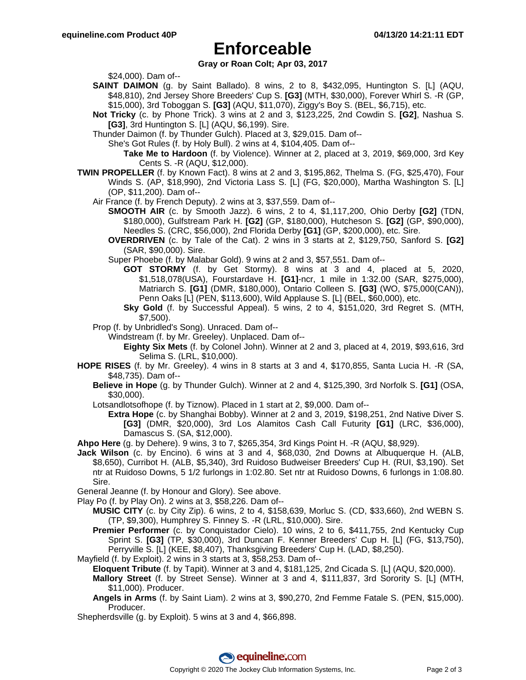## **Enforceable**

**Gray or Roan Colt; Apr 03, 2017**

\$24,000). Dam of--

- **SAINT DAIMON** (g. by Saint Ballado). 8 wins, 2 to 8, \$432,095, Huntington S. [L] (AQU, \$48,810), 2nd Jersey Shore Breeders' Cup S. **[G3]** (MTH, \$30,000), Forever Whirl S. -R (GP, \$15,000), 3rd Toboggan S. **[G3]** (AQU, \$11,070), Ziggy's Boy S. (BEL, \$6,715), etc.
- **Not Tricky** (c. by Phone Trick). 3 wins at 2 and 3, \$123,225, 2nd Cowdin S. **[G2]**, Nashua S. **[G3]**, 3rd Huntington S. [L] (AQU, \$6,199). Sire.
- Thunder Daimon (f. by Thunder Gulch). Placed at 3, \$29,015. Dam of--
	- She's Got Rules (f. by Holy Bull). 2 wins at 4, \$104,405. Dam of--
		- **Take Me to Hardoon** (f. by Violence). Winner at 2, placed at 3, 2019, \$69,000, 3rd Key Cents S. -R (AQU, \$12,000).
- **TWIN PROPELLER** (f. by Known Fact). 8 wins at 2 and 3, \$195,862, Thelma S. (FG, \$25,470), Four Winds S. (AP, \$18,990), 2nd Victoria Lass S. [L] (FG, \$20,000), Martha Washington S. [L] (OP, \$11,200). Dam of--
	- Air France (f. by French Deputy). 2 wins at 3, \$37,559. Dam of--
		- **SMOOTH AIR** (c. by Smooth Jazz). 6 wins, 2 to 4, \$1,117,200, Ohio Derby **[G2]** (TDN, \$180,000), Gulfstream Park H. **[G2]** (GP, \$180,000), Hutcheson S. **[G2]** (GP, \$90,000), Needles S. (CRC, \$56,000), 2nd Florida Derby **[G1]** (GP, \$200,000), etc. Sire.
		- **OVERDRIVEN** (c. by Tale of the Cat). 2 wins in 3 starts at 2, \$129,750, Sanford S. **[G2]** (SAR, \$90,000). Sire.
		- Super Phoebe (f. by Malabar Gold). 9 wins at 2 and 3, \$57,551. Dam of--
			- **GOT STORMY** (f. by Get Stormy). 8 wins at 3 and 4, placed at 5, 2020, \$1,518,078(USA), Fourstardave H. **[G1]**-ncr, 1 mile in 1:32.00 (SAR, \$275,000), Matriarch S. **[G1]** (DMR, \$180,000), Ontario Colleen S. **[G3]** (WO, \$75,000(CAN)), Penn Oaks [L] (PEN, \$113,600), Wild Applause S. [L] (BEL, \$60,000), etc.
			- **Sky Gold** (f. by Successful Appeal). 5 wins, 2 to 4, \$151,020, 3rd Regret S. (MTH, \$7,500).
	- Prop (f. by Unbridled's Song). Unraced. Dam of--

Windstream (f. by Mr. Greeley). Unplaced. Dam of--

- **Eighty Six Mets** (f. by Colonel John). Winner at 2 and 3, placed at 4, 2019, \$93,616, 3rd Selima S. (LRL, \$10,000).
- **HOPE RISES** (f. by Mr. Greeley). 4 wins in 8 starts at 3 and 4, \$170,855, Santa Lucia H. -R (SA, \$48,735). Dam of--
	- **Believe in Hope** (g. by Thunder Gulch). Winner at 2 and 4, \$125,390, 3rd Norfolk S. **[G1]** (OSA, \$30,000).
	- Lotsandlotsofhope (f. by Tiznow). Placed in 1 start at 2, \$9,000. Dam of--
		- **Extra Hope** (c. by Shanghai Bobby). Winner at 2 and 3, 2019, \$198,251, 2nd Native Diver S. **[G3]** (DMR, \$20,000), 3rd Los Alamitos Cash Call Futurity **[G1]** (LRC, \$36,000), Damascus S. (SA, \$12,000).

**Ahpo Here** (g. by Dehere). 9 wins, 3 to 7, \$265,354, 3rd Kings Point H. -R (AQU, \$8,929).

**Jack Wilson** (c. by Encino). 6 wins at 3 and 4, \$68,030, 2nd Downs at Albuquerque H. (ALB, \$8,650), Curribot H. (ALB, \$5,340), 3rd Ruidoso Budweiser Breeders' Cup H. (RUI, \$3,190). Set ntr at Ruidoso Downs, 5 1/2 furlongs in 1:02.80. Set ntr at Ruidoso Downs, 6 furlongs in 1:08.80. Sire.

General Jeanne (f. by Honour and Glory). See above.

- Play Po (f. by Play On). 2 wins at 3, \$58,226. Dam of--
	- **MUSIC CITY** (c. by City Zip). 6 wins, 2 to 4, \$158,639, Morluc S. (CD, \$33,660), 2nd WEBN S. (TP, \$9,300), Humphrey S. Finney S. -R (LRL, \$10,000). Sire.
	- **Premier Performer** (c. by Conquistador Cielo). 10 wins, 2 to 6, \$411,755, 2nd Kentucky Cup Sprint S. **[G3]** (TP, \$30,000), 3rd Duncan F. Kenner Breeders' Cup H. [L] (FG, \$13,750), Perryville S. [L] (KEE, \$8,407), Thanksgiving Breeders' Cup H. (LAD, \$8,250).

Mayfield (f. by Exploit). 2 wins in 3 starts at 3, \$58,253. Dam of--

**Eloquent Tribute** (f. by Tapit). Winner at 3 and 4, \$181,125, 2nd Cicada S. [L] (AQU, \$20,000).

- **Mallory Street** (f. by Street Sense). Winner at 3 and 4, \$111,837, 3rd Sorority S. [L] (MTH, \$11,000). Producer.
- **Angels in Arms** (f. by Saint Liam). 2 wins at 3, \$90,270, 2nd Femme Fatale S. (PEN, \$15,000). Producer.
- Shepherdsville (g. by Exploit). 5 wins at 3 and 4, \$66,898.